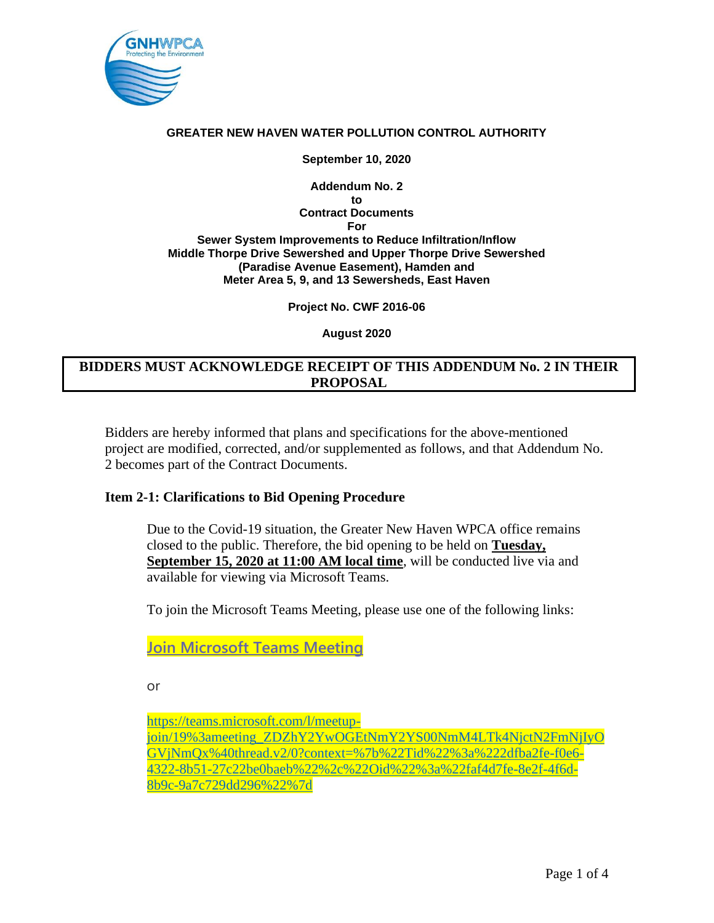

**September 10, 2020**

**Addendum No. 2 to Contract Documents For Sewer System Improvements to Reduce Infiltration/Inflow Middle Thorpe Drive Sewershed and Upper Thorpe Drive Sewershed (Paradise Avenue Easement), Hamden and Meter Area 5, 9, and 13 Sewersheds, East Haven**

**Project No. CWF 2016-06**

**August 2020**

# **BIDDERS MUST ACKNOWLEDGE RECEIPT OF THIS ADDENDUM No. 2 IN THEIR PROPOSAL**

Bidders are hereby informed that plans and specifications for the above-mentioned project are modified, corrected, and/or supplemented as follows, and that Addendum No. 2 becomes part of the Contract Documents.

# **Item 2-1: Clarifications to Bid Opening Procedure**

Due to the Covid-19 situation, the Greater New Haven WPCA office remains closed to the public. Therefore, the bid opening to be held on **Tuesday, September 15, 2020 at 11:00 AM local time**, will be conducted live via and available for viewing via Microsoft Teams.

To join the Microsoft Teams Meeting, please use one of the following links:

**[Join Microsoft Teams Meeting](https://nam02.safelinks.protection.outlook.com/?url=https%3A%2F%2Fteams.microsoft.com%2Fl%2Fmeetup-join%2F19%253ameeting_ZDZhY2YwOGEtNmY2YS00NmM4LTk4NjctN2FmNjIyOGVjNmQx%2540thread.v2%2F0%3Fcontext%3D%257b%2522Tid%2522%253a%25222dfba2fe-f0e6-4322-8b51-27c22be0baeb%2522%252c%2522Oid%2522%253a%2522faf4d7fe-8e2f-4f6d-8b9c-9a7c729dd296%2522%257d&data=02%7C01%7C%7C728329b8906b4ca1414f08d85402b86b%7C7f90057d3ea046feb07ce0568627081b%7C0%7C0%7C637351717967248047&sdata=hKuSqdbay3zzrnwCqF%2FqSBJGXZ3abezXOzsLQMdYJxI%3D&reserved=0)**

or

[https://teams.microsoft.com/l/meetup](https://nam02.safelinks.protection.outlook.com/?url=https%3A%2F%2Fteams.microsoft.com%2Fl%2Fmeetup-join%2F19%253ameeting_ZDZhY2YwOGEtNmY2YS00NmM4LTk4NjctN2FmNjIyOGVjNmQx%2540thread.v2%2F0%3Fcontext%3D%257b%2522Tid%2522%253a%25222dfba2fe-f0e6-4322-8b51-27c22be0baeb%2522%252c%2522Oid%2522%253a%2522faf4d7fe-8e2f-4f6d-8b9c-9a7c729dd296%2522%257d&data=02%7C01%7C%7C728329b8906b4ca1414f08d85402b86b%7C7f90057d3ea046feb07ce0568627081b%7C0%7C0%7C637351717967258040&sdata=YBX0lZG50vijklqy2dbnctpfhISj6WYRnwt6OXpwaEc%3D&reserved=0)[join/19%3ameeting\\_ZDZhY2YwOGEtNmY2YS00NmM4LTk4NjctN2FmNjIyO](https://nam02.safelinks.protection.outlook.com/?url=https%3A%2F%2Fteams.microsoft.com%2Fl%2Fmeetup-join%2F19%253ameeting_ZDZhY2YwOGEtNmY2YS00NmM4LTk4NjctN2FmNjIyOGVjNmQx%2540thread.v2%2F0%3Fcontext%3D%257b%2522Tid%2522%253a%25222dfba2fe-f0e6-4322-8b51-27c22be0baeb%2522%252c%2522Oid%2522%253a%2522faf4d7fe-8e2f-4f6d-8b9c-9a7c729dd296%2522%257d&data=02%7C01%7C%7C728329b8906b4ca1414f08d85402b86b%7C7f90057d3ea046feb07ce0568627081b%7C0%7C0%7C637351717967258040&sdata=YBX0lZG50vijklqy2dbnctpfhISj6WYRnwt6OXpwaEc%3D&reserved=0) [GVjNmQx%40thread.v2/0?context=%7b%22Tid%22%3a%222dfba2fe-f0e6-](https://nam02.safelinks.protection.outlook.com/?url=https%3A%2F%2Fteams.microsoft.com%2Fl%2Fmeetup-join%2F19%253ameeting_ZDZhY2YwOGEtNmY2YS00NmM4LTk4NjctN2FmNjIyOGVjNmQx%2540thread.v2%2F0%3Fcontext%3D%257b%2522Tid%2522%253a%25222dfba2fe-f0e6-4322-8b51-27c22be0baeb%2522%252c%2522Oid%2522%253a%2522faf4d7fe-8e2f-4f6d-8b9c-9a7c729dd296%2522%257d&data=02%7C01%7C%7C728329b8906b4ca1414f08d85402b86b%7C7f90057d3ea046feb07ce0568627081b%7C0%7C0%7C637351717967258040&sdata=YBX0lZG50vijklqy2dbnctpfhISj6WYRnwt6OXpwaEc%3D&reserved=0) [4322-8b51-27c22be0baeb%22%2c%22Oid%22%3a%22faf4d7fe-8e2f-4f6d-](https://nam02.safelinks.protection.outlook.com/?url=https%3A%2F%2Fteams.microsoft.com%2Fl%2Fmeetup-join%2F19%253ameeting_ZDZhY2YwOGEtNmY2YS00NmM4LTk4NjctN2FmNjIyOGVjNmQx%2540thread.v2%2F0%3Fcontext%3D%257b%2522Tid%2522%253a%25222dfba2fe-f0e6-4322-8b51-27c22be0baeb%2522%252c%2522Oid%2522%253a%2522faf4d7fe-8e2f-4f6d-8b9c-9a7c729dd296%2522%257d&data=02%7C01%7C%7C728329b8906b4ca1414f08d85402b86b%7C7f90057d3ea046feb07ce0568627081b%7C0%7C0%7C637351717967258040&sdata=YBX0lZG50vijklqy2dbnctpfhISj6WYRnwt6OXpwaEc%3D&reserved=0)[8b9c-9a7c729dd296%22%7d](https://nam02.safelinks.protection.outlook.com/?url=https%3A%2F%2Fteams.microsoft.com%2Fl%2Fmeetup-join%2F19%253ameeting_ZDZhY2YwOGEtNmY2YS00NmM4LTk4NjctN2FmNjIyOGVjNmQx%2540thread.v2%2F0%3Fcontext%3D%257b%2522Tid%2522%253a%25222dfba2fe-f0e6-4322-8b51-27c22be0baeb%2522%252c%2522Oid%2522%253a%2522faf4d7fe-8e2f-4f6d-8b9c-9a7c729dd296%2522%257d&data=02%7C01%7C%7C728329b8906b4ca1414f08d85402b86b%7C7f90057d3ea046feb07ce0568627081b%7C0%7C0%7C637351717967258040&sdata=YBX0lZG50vijklqy2dbnctpfhISj6WYRnwt6OXpwaEc%3D&reserved=0)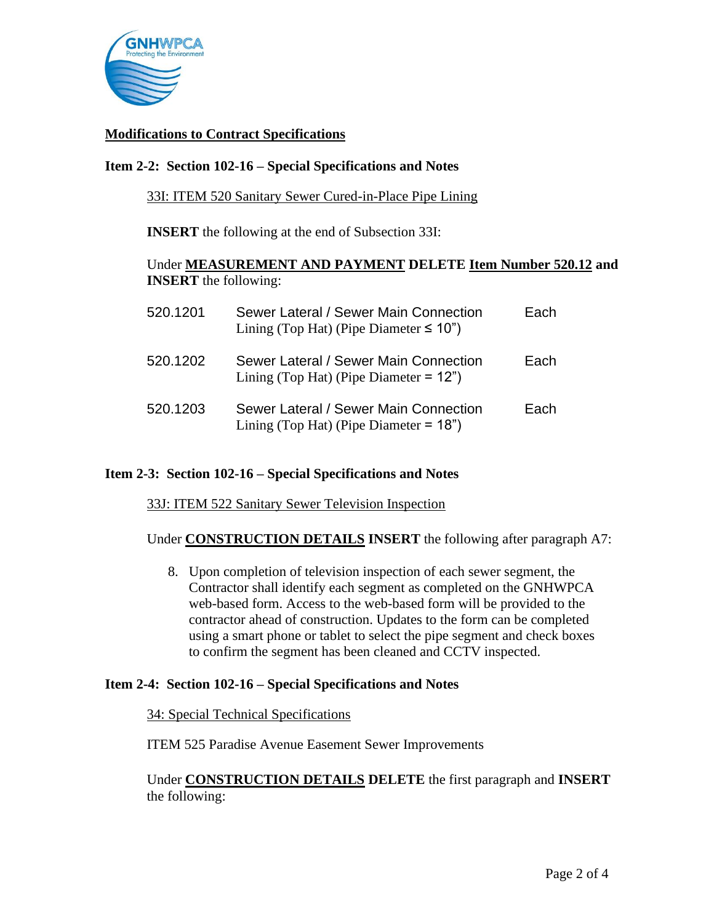

# **Modifications to Contract Specifications**

## **Item 2-2: Section 102-16 – Special Specifications and Notes**

33I: ITEM 520 Sanitary Sewer Cured-in-Place Pipe Lining

**INSERT** the following at the end of Subsection 33I:

## Under **MEASUREMENT AND PAYMENT DELETE Item Number 520.12 and INSERT** the following:

| 520.1201 | Sewer Lateral / Sewer Main Connection<br>Lining (Top Hat) (Pipe Diameter $\leq 10$ ") | Each |
|----------|---------------------------------------------------------------------------------------|------|
| 520.1202 | Sewer Lateral / Sewer Main Connection<br>Lining (Top Hat) (Pipe Diameter $= 12$ ")    | Each |
| 520.1203 | Sewer Lateral / Sewer Main Connection<br>Lining (Top Hat) (Pipe Diameter $= 18$ ")    | Each |

### **Item 2-3: Section 102-16 – Special Specifications and Notes**

33J: ITEM 522 Sanitary Sewer Television Inspection

Under **CONSTRUCTION DETAILS INSERT** the following after paragraph A7:

8. Upon completion of television inspection of each sewer segment, the Contractor shall identify each segment as completed on the GNHWPCA web-based form. Access to the web-based form will be provided to the contractor ahead of construction. Updates to the form can be completed using a smart phone or tablet to select the pipe segment and check boxes to confirm the segment has been cleaned and CCTV inspected.

### **Item 2-4: Section 102-16 – Special Specifications and Notes**

#### 34: Special Technical Specifications

ITEM 525 Paradise Avenue Easement Sewer Improvements

Under **CONSTRUCTION DETAILS DELETE** the first paragraph and **INSERT**  the following: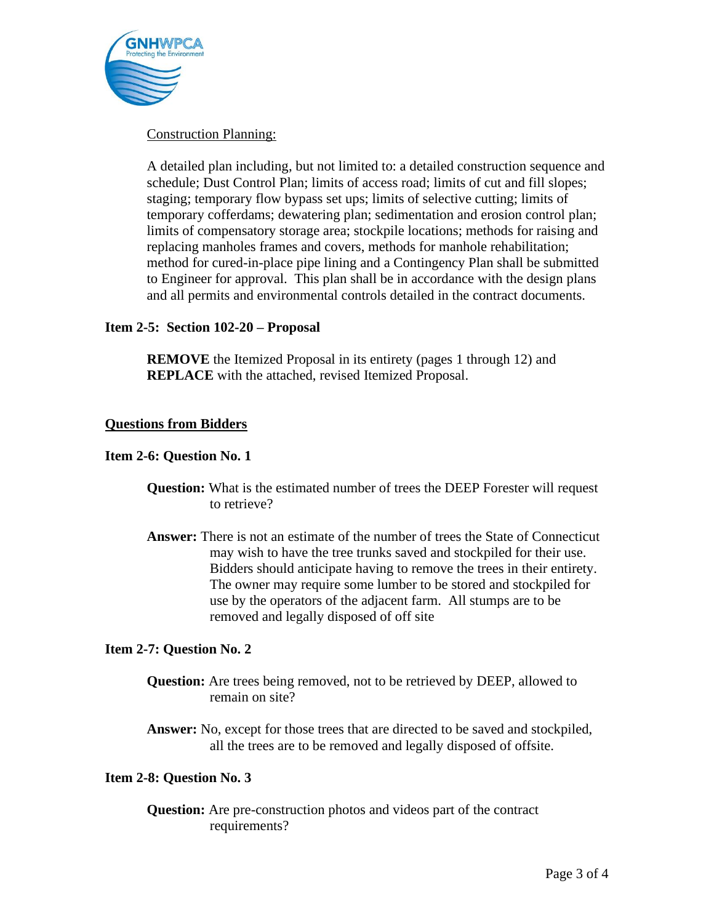

## Construction Planning:

A detailed plan including, but not limited to: a detailed construction sequence and schedule; Dust Control Plan; limits of access road; limits of cut and fill slopes; staging; temporary flow bypass set ups; limits of selective cutting; limits of temporary cofferdams; dewatering plan; sedimentation and erosion control plan; limits of compensatory storage area; stockpile locations; methods for raising and replacing manholes frames and covers, methods for manhole rehabilitation; method for cured-in-place pipe lining and a Contingency Plan shall be submitted to Engineer for approval. This plan shall be in accordance with the design plans and all permits and environmental controls detailed in the contract documents.

## **Item 2-5: Section 102-20 – Proposal**

**REMOVE** the Itemized Proposal in its entirety (pages 1 through 12) and **REPLACE** with the attached, revised Itemized Proposal.

### **Questions from Bidders**

## **Item 2-6: Question No. 1**

- **Question:** What is the estimated number of trees the DEEP Forester will request to retrieve?
- **Answer:** There is not an estimate of the number of trees the State of Connecticut may wish to have the tree trunks saved and stockpiled for their use. Bidders should anticipate having to remove the trees in their entirety. The owner may require some lumber to be stored and stockpiled for use by the operators of the adjacent farm. All stumps are to be removed and legally disposed of off site

### **Item 2-7: Question No. 2**

- **Question:** Are trees being removed, not to be retrieved by DEEP, allowed to remain on site?
- **Answer:** No, except for those trees that are directed to be saved and stockpiled, all the trees are to be removed and legally disposed of offsite.

### **Item 2-8: Question No. 3**

**Question:** Are pre-construction photos and videos part of the contract requirements?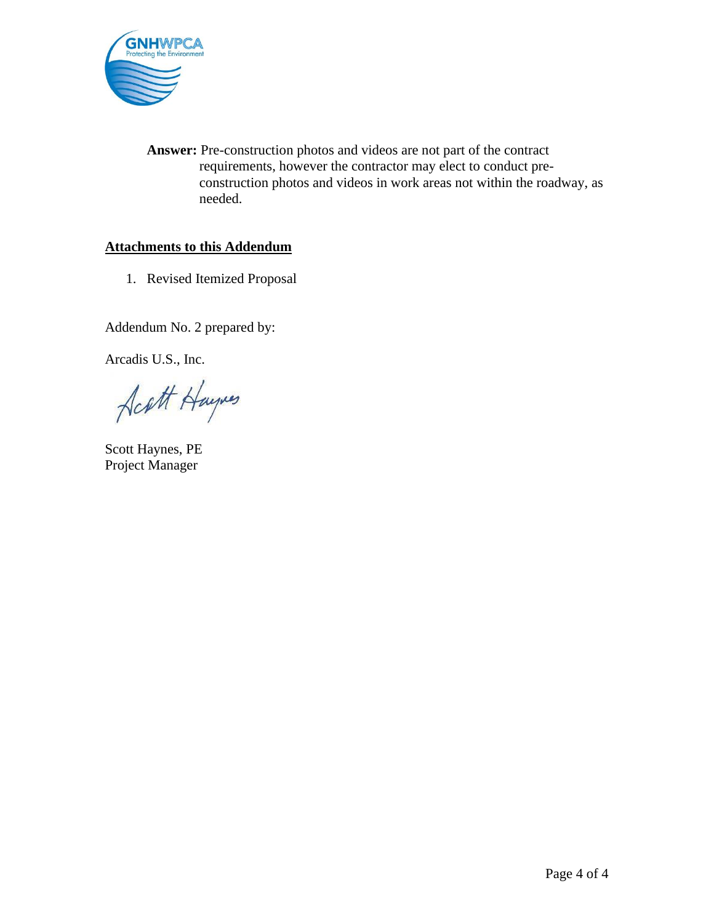

**Answer:** Pre-construction photos and videos are not part of the contract requirements, however the contractor may elect to conduct preconstruction photos and videos in work areas not within the roadway, as needed.

# **Attachments to this Addendum**

1. Revised Itemized Proposal

Addendum No. 2 prepared by:

Arcadis U.S., Inc.

Acatt Haynes

Scott Haynes, PE Project Manager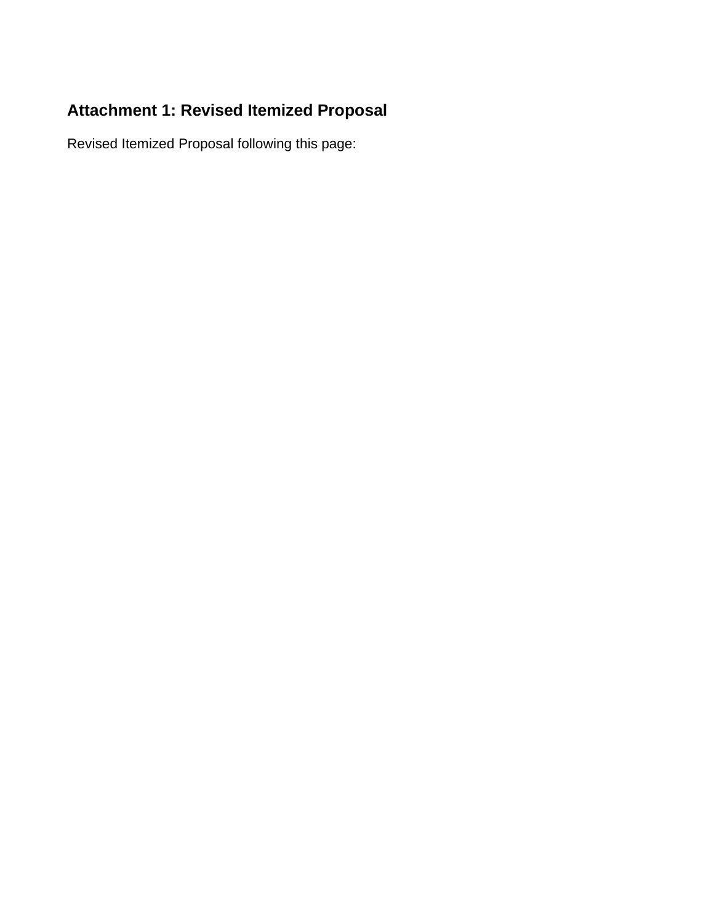# **Attachment 1: Revised Itemized Proposal**

Revised Itemized Proposal following this page: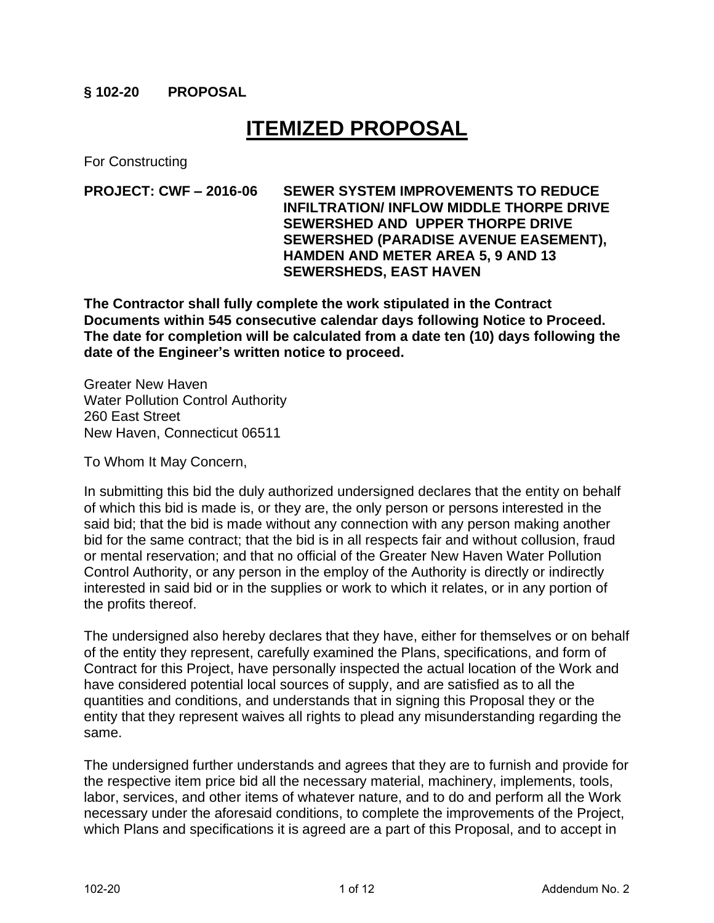# **§ 102-20 PROPOSAL**

# **ITEMIZED PROPOSAL**

For Constructing

**PROJECT: CWF – 2016-06 SEWER SYSTEM IMPROVEMENTS TO REDUCE INFILTRATION/ INFLOW MIDDLE THORPE DRIVE SEWERSHED AND UPPER THORPE DRIVE SEWERSHED (PARADISE AVENUE EASEMENT), HAMDEN AND METER AREA 5, 9 AND 13 SEWERSHEDS, EAST HAVEN**

**The Contractor shall fully complete the work stipulated in the Contract Documents within 545 consecutive calendar days following Notice to Proceed. The date for completion will be calculated from a date ten (10) days following the date of the Engineer's written notice to proceed.**

Greater New Haven Water Pollution Control Authority 260 East Street New Haven, Connecticut 06511

To Whom It May Concern,

In submitting this bid the duly authorized undersigned declares that the entity on behalf of which this bid is made is, or they are, the only person or persons interested in the said bid; that the bid is made without any connection with any person making another bid for the same contract; that the bid is in all respects fair and without collusion, fraud or mental reservation; and that no official of the Greater New Haven Water Pollution Control Authority, or any person in the employ of the Authority is directly or indirectly interested in said bid or in the supplies or work to which it relates, or in any portion of the profits thereof.

The undersigned also hereby declares that they have, either for themselves or on behalf of the entity they represent, carefully examined the Plans, specifications, and form of Contract for this Project, have personally inspected the actual location of the Work and have considered potential local sources of supply, and are satisfied as to all the quantities and conditions, and understands that in signing this Proposal they or the entity that they represent waives all rights to plead any misunderstanding regarding the same.

The undersigned further understands and agrees that they are to furnish and provide for the respective item price bid all the necessary material, machinery, implements, tools, labor, services, and other items of whatever nature, and to do and perform all the Work necessary under the aforesaid conditions, to complete the improvements of the Project, which Plans and specifications it is agreed are a part of this Proposal, and to accept in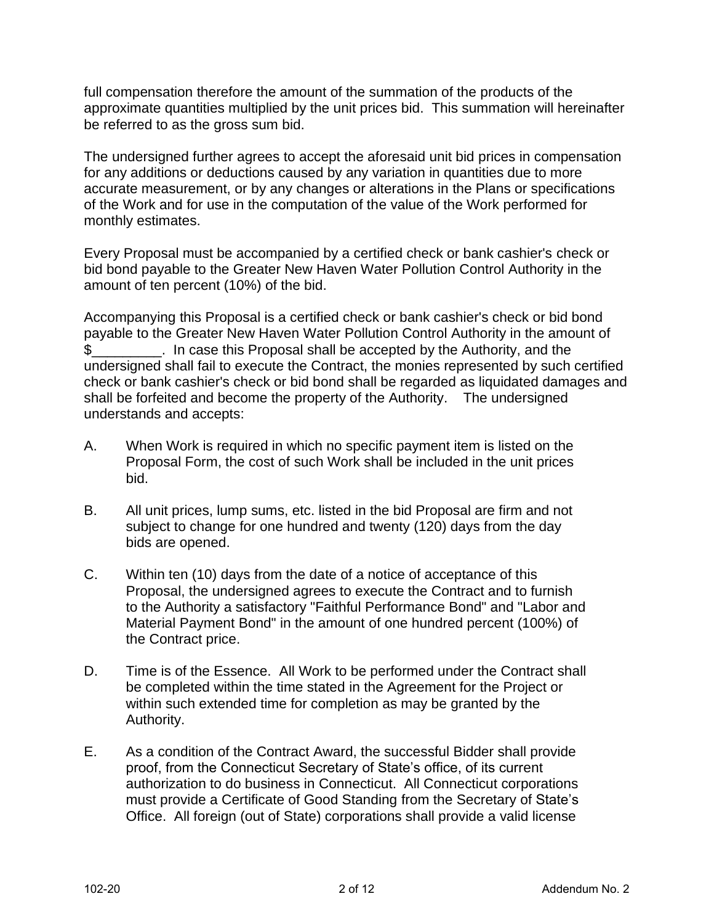full compensation therefore the amount of the summation of the products of the approximate quantities multiplied by the unit prices bid. This summation will hereinafter be referred to as the gross sum bid.

The undersigned further agrees to accept the aforesaid unit bid prices in compensation for any additions or deductions caused by any variation in quantities due to more accurate measurement, or by any changes or alterations in the Plans or specifications of the Work and for use in the computation of the value of the Work performed for monthly estimates.

Every Proposal must be accompanied by a certified check or bank cashier's check or bid bond payable to the Greater New Haven Water Pollution Control Authority in the amount of ten percent (10%) of the bid.

Accompanying this Proposal is a certified check or bank cashier's check or bid bond payable to the Greater New Haven Water Pollution Control Authority in the amount of \$\_\_\_\_\_\_\_\_\_. In case this Proposal shall be accepted by the Authority, and the undersigned shall fail to execute the Contract, the monies represented by such certified check or bank cashier's check or bid bond shall be regarded as liquidated damages and shall be forfeited and become the property of the Authority. The undersigned understands and accepts:

- A. When Work is required in which no specific payment item is listed on the Proposal Form, the cost of such Work shall be included in the unit prices bid.
- B. All unit prices, lump sums, etc. listed in the bid Proposal are firm and not subject to change for one hundred and twenty (120) days from the day bids are opened.
- C. Within ten (10) days from the date of a notice of acceptance of this Proposal, the undersigned agrees to execute the Contract and to furnish to the Authority a satisfactory "Faithful Performance Bond" and "Labor and Material Payment Bond" in the amount of one hundred percent (100%) of the Contract price.
- D. Time is of the Essence. All Work to be performed under the Contract shall be completed within the time stated in the Agreement for the Project or within such extended time for completion as may be granted by the Authority.
- E. As a condition of the Contract Award, the successful Bidder shall provide proof, from the Connecticut Secretary of State's office, of its current authorization to do business in Connecticut. All Connecticut corporations must provide a Certificate of Good Standing from the Secretary of State's Office. All foreign (out of State) corporations shall provide a valid license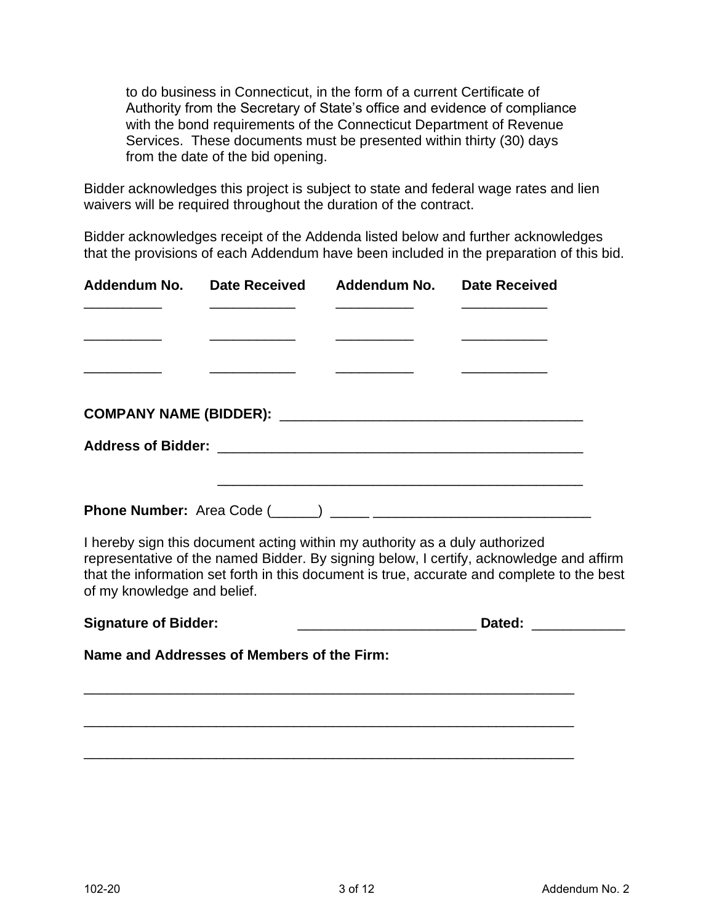to do business in Connecticut, in the form of a current Certificate of Authority from the Secretary of State's office and evidence of compliance with the bond requirements of the Connecticut Department of Revenue Services. These documents must be presented within thirty (30) days from the date of the bid opening.

Bidder acknowledges this project is subject to state and federal wage rates and lien waivers will be required throughout the duration of the contract.

Bidder acknowledges receipt of the Addenda listed below and further acknowledges that the provisions of each Addendum have been included in the preparation of this bid.

|  | Addendum No. Date Received Addendum No. Date Received |                                                                                                                       |
|--|-------------------------------------------------------|-----------------------------------------------------------------------------------------------------------------------|
|  |                                                       |                                                                                                                       |
|  |                                                       |                                                                                                                       |
|  |                                                       | <u> 1980 - Jan Samuel Barbara, político e por establecer a la provincia de la provincia de la provincia de la pro</u> |
|  |                                                       |                                                                                                                       |
|  |                                                       |                                                                                                                       |
|  |                                                       |                                                                                                                       |
|  |                                                       |                                                                                                                       |
|  |                                                       |                                                                                                                       |
|  |                                                       |                                                                                                                       |

I hereby sign this document acting within my authority as a duly authorized representative of the named Bidder. By signing below, I certify, acknowledge and affirm that the information set forth in this document is true, accurate and complete to the best of my knowledge and belief.

| <b>Signature of Bidder:</b><br>Dated: |
|---------------------------------------|
|---------------------------------------|

\_\_\_\_\_\_\_\_\_\_\_\_\_\_\_\_\_\_\_\_\_\_\_\_\_\_\_\_\_\_\_\_\_\_\_\_\_\_\_\_\_\_\_\_\_\_\_\_\_\_\_\_\_\_\_\_\_\_\_\_\_\_\_

\_\_\_\_\_\_\_\_\_\_\_\_\_\_\_\_\_\_\_\_\_\_\_\_\_\_\_\_\_\_\_\_\_\_\_\_\_\_\_\_\_\_\_\_\_\_\_\_\_\_\_\_\_\_\_\_\_\_\_\_\_\_\_

\_\_\_\_\_\_\_\_\_\_\_\_\_\_\_\_\_\_\_\_\_\_\_\_\_\_\_\_\_\_\_\_\_\_\_\_\_\_\_\_\_\_\_\_\_\_\_\_\_\_\_\_\_\_\_\_\_\_\_\_\_\_\_

**Name and Addresses of Members of the Firm:**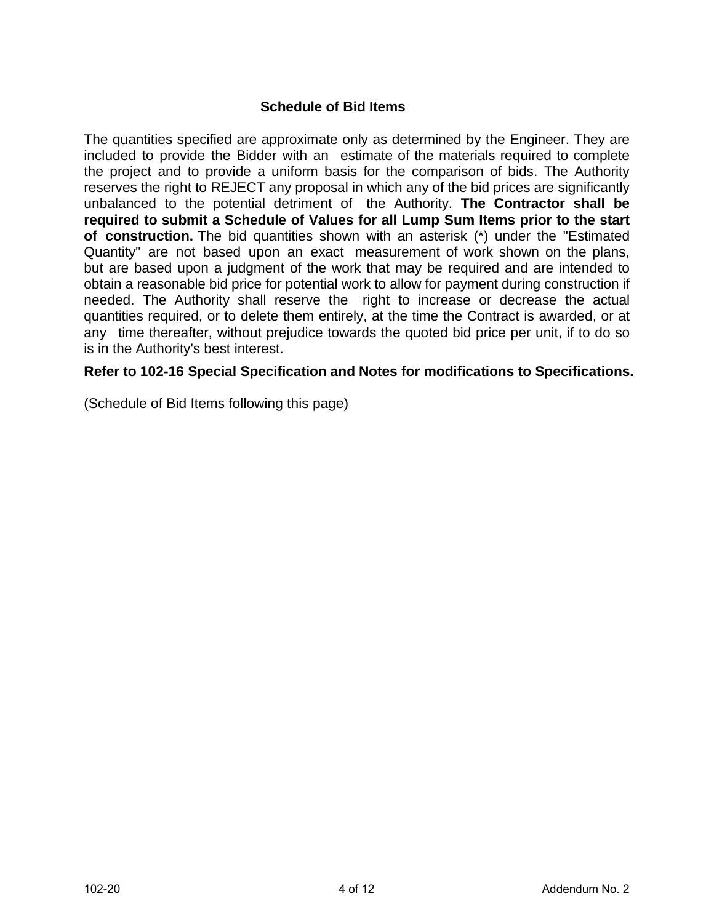# **Schedule of Bid Items**

The quantities specified are approximate only as determined by the Engineer. They are included to provide the Bidder with an estimate of the materials required to complete the project and to provide a uniform basis for the comparison of bids. The Authority reserves the right to REJECT any proposal in which any of the bid prices are significantly unbalanced to the potential detriment of the Authority. **The Contractor shall be required to submit a Schedule of Values for all Lump Sum Items prior to the start of construction.** The bid quantities shown with an asterisk (\*) under the "Estimated Quantity" are not based upon an exact measurement of work shown on the plans, but are based upon a judgment of the work that may be required and are intended to obtain a reasonable bid price for potential work to allow for payment during construction if needed. The Authority shall reserve the right to increase or decrease the actual quantities required, or to delete them entirely, at the time the Contract is awarded, or at any time thereafter, without prejudice towards the quoted bid price per unit, if to do so is in the Authority's best interest.

# **Refer to 102-16 Special Specification and Notes for modifications to Specifications.**

(Schedule of Bid Items following this page)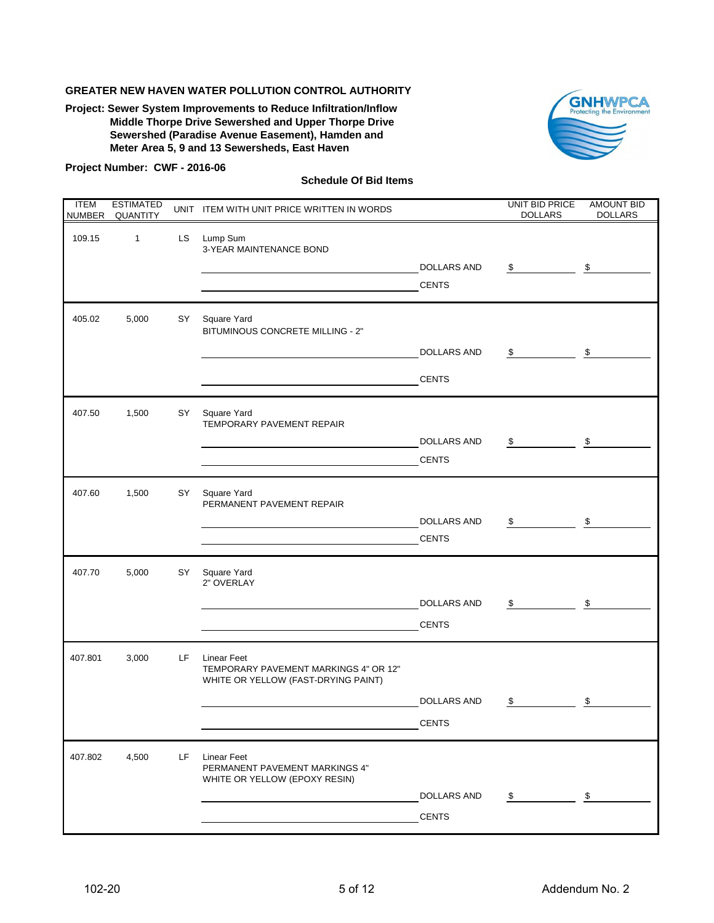**Project: Sewer System Improvements to Reduce Infiltration/Inflow Middle Thorpe Drive Sewershed and Upper Thorpe Drive Sewershed (Paradise Avenue Easement), Hamden and Meter Area 5, 9 and 13 Sewersheds, East Haven**



#### **Project Number: CWF - 2016-06**

| <b>ITEM</b><br><b>NUMBER</b> | <b>ESTIMATED</b><br><b>QUANTITY</b> |     | UNIT ITEM WITH UNIT PRICE WRITTEN IN WORDS                                                         |                                    | <b>UNIT BID PRICE</b><br><b>DOLLARS</b> | <b>AMOUNT BID</b><br><b>DOLLARS</b> |
|------------------------------|-------------------------------------|-----|----------------------------------------------------------------------------------------------------|------------------------------------|-----------------------------------------|-------------------------------------|
| 109.15                       | $\mathbf{1}$                        | LS. | Lump Sum<br>3-YEAR MAINTENANCE BOND                                                                |                                    |                                         |                                     |
|                              |                                     |     |                                                                                                    | <b>DOLLARS AND</b><br><b>CENTS</b> | \$                                      | \$                                  |
| 405.02                       | 5,000                               | SY  | Square Yard<br>BITUMINOUS CONCRETE MILLING - 2"                                                    |                                    |                                         |                                     |
|                              |                                     |     |                                                                                                    | <b>DOLLARS AND</b>                 | \$                                      | \$                                  |
|                              |                                     |     |                                                                                                    | <b>CENTS</b>                       |                                         |                                     |
| 407.50                       | 1,500                               | SY  | Square Yard<br>TEMPORARY PAVEMENT REPAIR                                                           |                                    |                                         |                                     |
|                              |                                     |     |                                                                                                    | <b>DOLLARS AND</b>                 | \$                                      | \$                                  |
|                              |                                     |     |                                                                                                    | <b>CENTS</b>                       |                                         |                                     |
| 407.60                       | 1,500                               | SY  | Square Yard<br>PERMANENT PAVEMENT REPAIR                                                           |                                    |                                         |                                     |
|                              |                                     |     |                                                                                                    | <b>DOLLARS AND</b>                 | \$                                      | $\,$                                |
|                              |                                     |     |                                                                                                    | <b>CENTS</b>                       |                                         |                                     |
| 407.70                       | 5,000                               | SY  | Square Yard<br>2" OVERLAY                                                                          |                                    |                                         |                                     |
|                              |                                     |     |                                                                                                    | <b>DOLLARS AND</b>                 | \$                                      | \$                                  |
|                              |                                     |     |                                                                                                    | <b>CENTS</b>                       |                                         |                                     |
| 407.801                      | 3,000                               | LF. | <b>Linear Feet</b><br>TEMPORARY PAVEMENT MARKINGS 4" OR 12"<br>WHITE OR YELLOW (FAST-DRYING PAINT) |                                    |                                         |                                     |
|                              |                                     |     |                                                                                                    | <b>DOLLARS AND</b>                 | \$                                      | \$                                  |
|                              |                                     |     |                                                                                                    | <b>CENTS</b>                       |                                         |                                     |
| 407.802                      | 4,500                               | LF  | <b>Linear Feet</b><br>PERMANENT PAVEMENT MARKINGS 4"<br>WHITE OR YELLOW (EPOXY RESIN)              |                                    |                                         |                                     |
|                              |                                     |     |                                                                                                    | <b>DOLLARS AND</b>                 | \$                                      | \$                                  |
|                              |                                     |     |                                                                                                    | <b>CENTS</b>                       |                                         |                                     |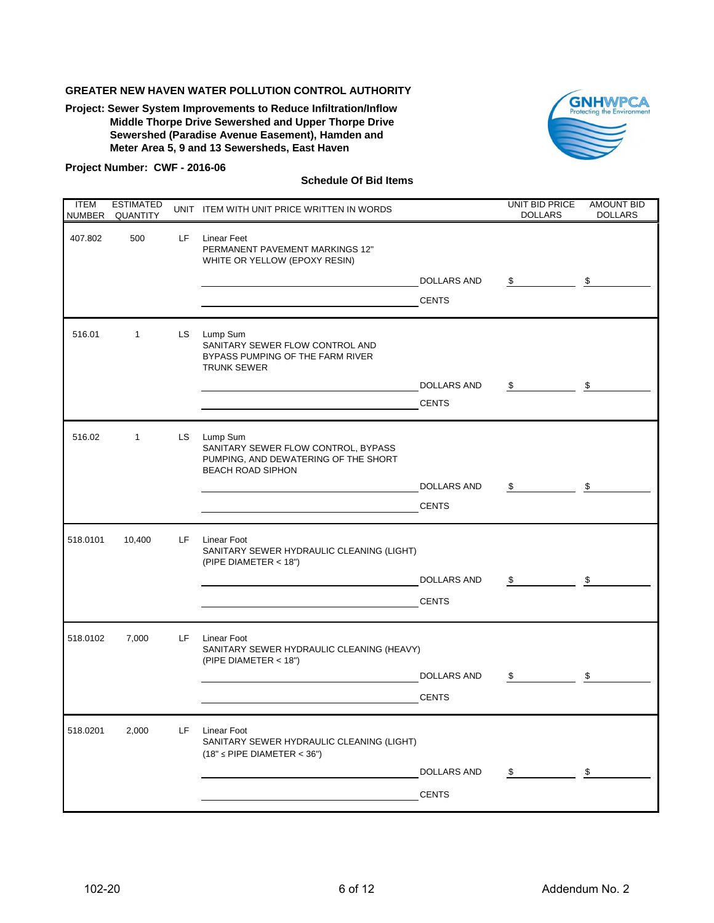**Project: Sewer System Improvements to Reduce Infiltration/Inflow Middle Thorpe Drive Sewershed and Upper Thorpe Drive Sewershed (Paradise Avenue Easement), Hamden and Meter Area 5, 9 and 13 Sewersheds, East Haven**



#### **Project Number: CWF - 2016-06**

| <b>ITEM</b> | <b>ESTIMATED</b><br>NUMBER QUANTITY |     | UNIT ITEM WITH UNIT PRICE WRITTEN IN WORDS                                                                          |                    | UNIT BID PRICE<br><b>DOLLARS</b> | <b>AMOUNT BID</b><br><b>DOLLARS</b> |
|-------------|-------------------------------------|-----|---------------------------------------------------------------------------------------------------------------------|--------------------|----------------------------------|-------------------------------------|
| 407.802     | 500                                 | LF. | <b>Linear Feet</b><br>PERMANENT PAVEMENT MARKINGS 12"<br>WHITE OR YELLOW (EPOXY RESIN)                              |                    |                                  |                                     |
|             |                                     |     |                                                                                                                     | <b>DOLLARS AND</b> | \$                               | \$                                  |
|             |                                     |     |                                                                                                                     | <b>CENTS</b>       |                                  |                                     |
| 516.01      | $\mathbf{1}$                        | LS. | Lump Sum<br>SANITARY SEWER FLOW CONTROL AND<br>BYPASS PUMPING OF THE FARM RIVER<br><b>TRUNK SEWER</b>               |                    |                                  |                                     |
|             |                                     |     |                                                                                                                     | <b>DOLLARS AND</b> | \$                               | \$                                  |
|             |                                     |     |                                                                                                                     | <b>CENTS</b>       |                                  |                                     |
| 516.02      | $\mathbf{1}$                        | LS  | Lump Sum<br>SANITARY SEWER FLOW CONTROL, BYPASS<br>PUMPING, AND DEWATERING OF THE SHORT<br><b>BEACH ROAD SIPHON</b> |                    |                                  |                                     |
|             |                                     |     |                                                                                                                     | <b>DOLLARS AND</b> | \$                               | \$                                  |
|             |                                     |     |                                                                                                                     | <b>CENTS</b>       |                                  |                                     |
| 518.0101    | 10,400                              | LF. | <b>Linear Foot</b><br>SANITARY SEWER HYDRAULIC CLEANING (LIGHT)<br>(PIPE DIAMETER < 18")                            |                    |                                  |                                     |
|             |                                     |     |                                                                                                                     | <b>DOLLARS AND</b> | \$                               | \$                                  |
|             |                                     |     |                                                                                                                     | <b>CENTS</b>       |                                  |                                     |
| 518.0102    | 7,000                               | LF. | <b>Linear Foot</b><br>SANITARY SEWER HYDRAULIC CLEANING (HEAVY)<br>(PIPE DIAMETER < 18")                            |                    |                                  |                                     |
|             |                                     |     |                                                                                                                     | <b>DOLLARS AND</b> | \$                               | \$                                  |
|             |                                     |     |                                                                                                                     | <b>CENTS</b>       |                                  |                                     |
| 518.0201    | 2,000                               | LF. | <b>Linear Foot</b><br>SANITARY SEWER HYDRAULIC CLEANING (LIGHT)<br>$(18" \leq$ PIPE DIAMETER < 36")                 |                    |                                  |                                     |
|             |                                     |     |                                                                                                                     | <b>DOLLARS AND</b> | $\frac{1}{2}$                    | \$                                  |
|             |                                     |     |                                                                                                                     | <b>CENTS</b>       |                                  |                                     |
|             |                                     |     |                                                                                                                     |                    |                                  |                                     |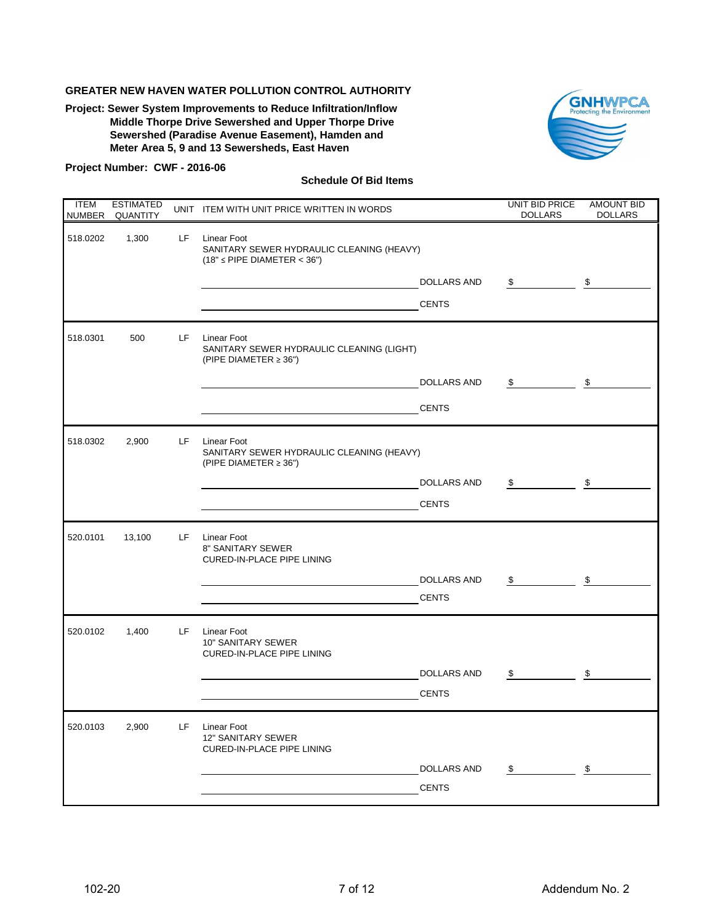**Project: Sewer System Improvements to Reduce Infiltration/Inflow Middle Thorpe Drive Sewershed and Upper Thorpe Drive Sewershed (Paradise Avenue Easement), Hamden and Meter Area 5, 9 and 13 Sewersheds, East Haven**



#### **Project Number: CWF - 2016-06**

| <b>ITEM</b><br><b>NUMBER</b> | <b>ESTIMATED</b><br>QUANTITY |      | UNIT ITEM WITH UNIT PRICE WRITTEN IN WORDS                                                          |                    | UNIT BID PRICE<br><b>DOLLARS</b> | <b>AMOUNT BID</b><br><b>DOLLARS</b> |
|------------------------------|------------------------------|------|-----------------------------------------------------------------------------------------------------|--------------------|----------------------------------|-------------------------------------|
| 518.0202                     | 1,300                        | LF - | <b>Linear Foot</b><br>SANITARY SEWER HYDRAULIC CLEANING (HEAVY)<br>$(18" \leq$ PIPE DIAMETER < 36") |                    |                                  |                                     |
|                              |                              |      |                                                                                                     | <b>DOLLARS AND</b> | \$                               | \$                                  |
|                              |                              |      |                                                                                                     | <b>CENTS</b>       |                                  |                                     |
| 518.0301                     | 500                          | LF.  | <b>Linear Foot</b><br>SANITARY SEWER HYDRAULIC CLEANING (LIGHT)<br>(PIPE DIAMETER $\geq$ 36")       |                    |                                  |                                     |
|                              |                              |      |                                                                                                     | DOLLARS AND        | $\sim$ $\sim$<br>\$              |                                     |
|                              |                              |      |                                                                                                     | <b>CENTS</b>       |                                  |                                     |
| 518.0302                     | 2,900                        | LF.  | Linear Foot<br>SANITARY SEWER HYDRAULIC CLEANING (HEAVY)<br>(PIPE DIAMETER ≥ 36")                   |                    |                                  |                                     |
|                              |                              |      |                                                                                                     | <b>DOLLARS AND</b> | $\mathfrak s$ $\mathfrak s$      |                                     |
|                              |                              |      |                                                                                                     | <b>CENTS</b>       |                                  |                                     |
| 520.0101                     | 13,100                       | LF.  | Linear Foot<br>8" SANITARY SEWER<br><b>CURED-IN-PLACE PIPE LINING</b>                               |                    |                                  |                                     |
|                              |                              |      |                                                                                                     | DOLLARS AND        | $\mathfrak s$<br>\$              |                                     |
|                              |                              |      |                                                                                                     | <b>CENTS</b>       |                                  |                                     |
| 520.0102                     | 1,400                        | LF.  | <b>Linear Foot</b><br>10" SANITARY SEWER<br><b>CURED-IN-PLACE PIPE LINING</b>                       |                    |                                  |                                     |
|                              |                              |      |                                                                                                     | DOLLARS AND        | \$                               | \$                                  |
|                              |                              |      |                                                                                                     | <b>CENTS</b>       |                                  |                                     |
| 520.0103                     | 2,900                        | LF.  | Linear Foot<br>12" SANITARY SEWER<br><b>CURED-IN-PLACE PIPE LINING</b>                              |                    |                                  |                                     |
|                              |                              |      |                                                                                                     | <b>DOLLARS AND</b> | \$                               | \$                                  |
|                              |                              |      |                                                                                                     | <b>CENTS</b>       |                                  |                                     |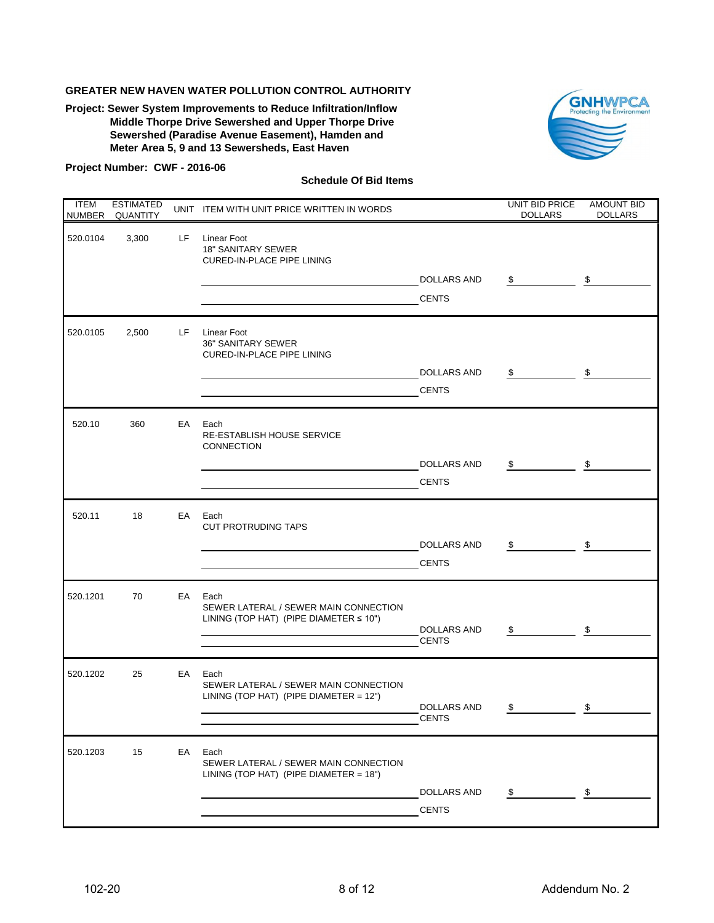**Project: Sewer System Improvements to Reduce Infiltration/Inflow Middle Thorpe Drive Sewershed and Upper Thorpe Drive Sewershed (Paradise Avenue Easement), Hamden and Meter Area 5, 9 and 13 Sewersheds, East Haven**



#### **Project Number: CWF - 2016-06**

| <b>ITEM</b> | <b>ESTIMATED</b><br>NUMBER QUANTITY |     | UNIT ITEM WITH UNIT PRICE WRITTEN IN WORDS                                                    |                                    | UNIT BID PRICE<br><b>DOLLARS</b> | <b>AMOUNT BID</b><br><b>DOLLARS</b> |
|-------------|-------------------------------------|-----|-----------------------------------------------------------------------------------------------|------------------------------------|----------------------------------|-------------------------------------|
| 520.0104    | 3,300                               | LF. | Linear Foot<br><b>18" SANITARY SEWER</b><br><b>CURED-IN-PLACE PIPE LINING</b>                 | DOLLARS AND                        | \$                               | \$                                  |
|             |                                     |     |                                                                                               | <b>CENTS</b>                       |                                  |                                     |
| 520.0105    | 2,500                               | LF. | <b>Linear Foot</b><br><b>36" SANITARY SEWER</b><br><b>CURED-IN-PLACE PIPE LINING</b>          | DOLLARS AND<br><b>CENTS</b>        | \$                               | \$                                  |
| 520.10      | 360                                 | EA  | Each<br>RE-ESTABLISH HOUSE SERVICE<br>CONNECTION                                              | <b>DOLLARS AND</b>                 | \$                               | \$                                  |
|             |                                     |     |                                                                                               | <b>CENTS</b>                       |                                  |                                     |
| 520.11      | 18                                  | EA  | Each<br><b>CUT PROTRUDING TAPS</b>                                                            |                                    |                                  |                                     |
|             |                                     |     |                                                                                               | DOLLARS AND<br><b>CENTS</b>        | \$                               | \$                                  |
| 520.1201    | 70                                  | EA  | Each<br>SEWER LATERAL / SEWER MAIN CONNECTION<br>LINING (TOP HAT) (PIPE DIAMETER $\leq 10"$ ) | <b>DOLLARS AND</b><br><b>CENTS</b> | \$                               | \$                                  |
| 520.1202    | 25                                  | EA  | Each<br>SEWER LATERAL / SEWER MAIN CONNECTION<br>LINING (TOP HAT) (PIPE DIAMETER = $12"$ )    | DOLLARS AND<br><b>CENTS</b>        | \$                               | \$                                  |
| 520.1203    | 15                                  | EA  | Each<br>SEWER LATERAL / SEWER MAIN CONNECTION<br>LINING (TOP HAT) (PIPE DIAMETER = $18"$ )    | DOLLARS AND<br><b>CENTS</b>        | \$                               | \$                                  |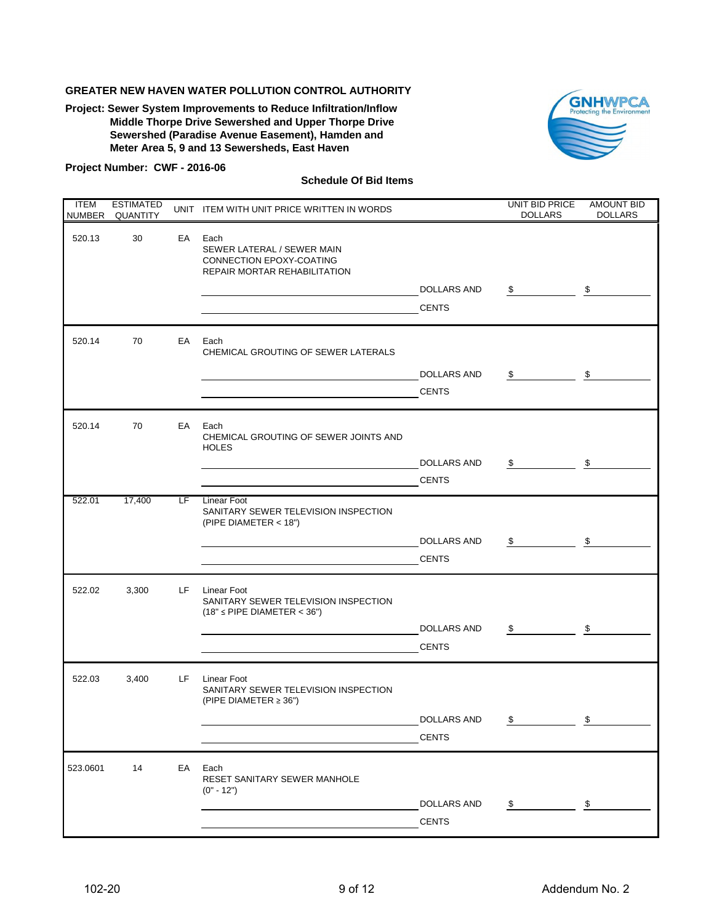**Project: Sewer System Improvements to Reduce Infiltration/Inflow Middle Thorpe Drive Sewershed and Upper Thorpe Drive Sewershed (Paradise Avenue Easement), Hamden and Meter Area 5, 9 and 13 Sewersheds, East Haven**



#### **Project Number: CWF - 2016-06**

| <b>ITEM</b><br>NUMBER | <b>ESTIMATED</b><br><b>QUANTITY</b> |     | UNIT ITEM WITH UNIT PRICE WRITTEN IN WORDS                                                     |                    | <b>UNIT BID PRICE</b><br><b>DOLLARS</b> | <b>AMOUNT BID</b><br><b>DOLLARS</b> |
|-----------------------|-------------------------------------|-----|------------------------------------------------------------------------------------------------|--------------------|-----------------------------------------|-------------------------------------|
| 520.13                | 30                                  | EA  | Each<br>SEWER LATERAL / SEWER MAIN<br>CONNECTION EPOXY-COATING<br>REPAIR MORTAR REHABILITATION |                    |                                         |                                     |
|                       |                                     |     |                                                                                                | DOLLARS AND        | \$                                      | \$                                  |
|                       |                                     |     |                                                                                                | <b>CENTS</b>       |                                         |                                     |
| 520.14                | 70                                  | EA  | Each<br>CHEMICAL GROUTING OF SEWER LATERALS                                                    |                    |                                         |                                     |
|                       |                                     |     |                                                                                                | <b>DOLLARS AND</b> | \$                                      | \$                                  |
|                       |                                     |     |                                                                                                | <b>CENTS</b>       |                                         |                                     |
| 520.14                | 70                                  | EA  | Each<br>CHEMICAL GROUTING OF SEWER JOINTS AND<br><b>HOLES</b>                                  |                    |                                         |                                     |
|                       |                                     |     |                                                                                                | <b>DOLLARS AND</b> | \$                                      | \$                                  |
|                       |                                     |     |                                                                                                | <b>CENTS</b>       |                                         |                                     |
| 522.01                | 17,400                              | LF. | Linear Foot                                                                                    |                    |                                         |                                     |
|                       |                                     |     | SANITARY SEWER TELEVISION INSPECTION<br>(PIPE DIAMETER < 18")                                  |                    |                                         |                                     |
|                       |                                     |     |                                                                                                | DOLLARS AND        | \$                                      | \$                                  |
|                       |                                     |     |                                                                                                | <b>CENTS</b>       |                                         |                                     |
| 522.02                | 3,300                               | LF. | Linear Foot<br>SANITARY SEWER TELEVISION INSPECTION<br>$(18" \leq$ PIPE DIAMETER < 36")        |                    |                                         |                                     |
|                       |                                     |     |                                                                                                | DOLLARS AND        | \$                                      | \$                                  |
|                       |                                     |     |                                                                                                | <b>CENTS</b>       |                                         |                                     |
| 522.03                | 3,400                               | LF. | <b>Linear Foot</b><br>SANITARY SEWER TELEVISION INSPECTION<br>(PIPE DIAMETER $\geq$ 36")       |                    |                                         |                                     |
|                       |                                     |     |                                                                                                | DOLLARS AND        | \$                                      | \$                                  |
|                       |                                     |     |                                                                                                | <b>CENTS</b>       |                                         |                                     |
| 523.0601              | 14                                  | EA  | Each<br>RESET SANITARY SEWER MANHOLE<br>$(0" - 12")$                                           |                    |                                         |                                     |
|                       |                                     |     |                                                                                                | DOLLARS AND        | \$                                      | \$                                  |
|                       |                                     |     |                                                                                                | <b>CENTS</b>       |                                         |                                     |
|                       |                                     |     |                                                                                                |                    |                                         |                                     |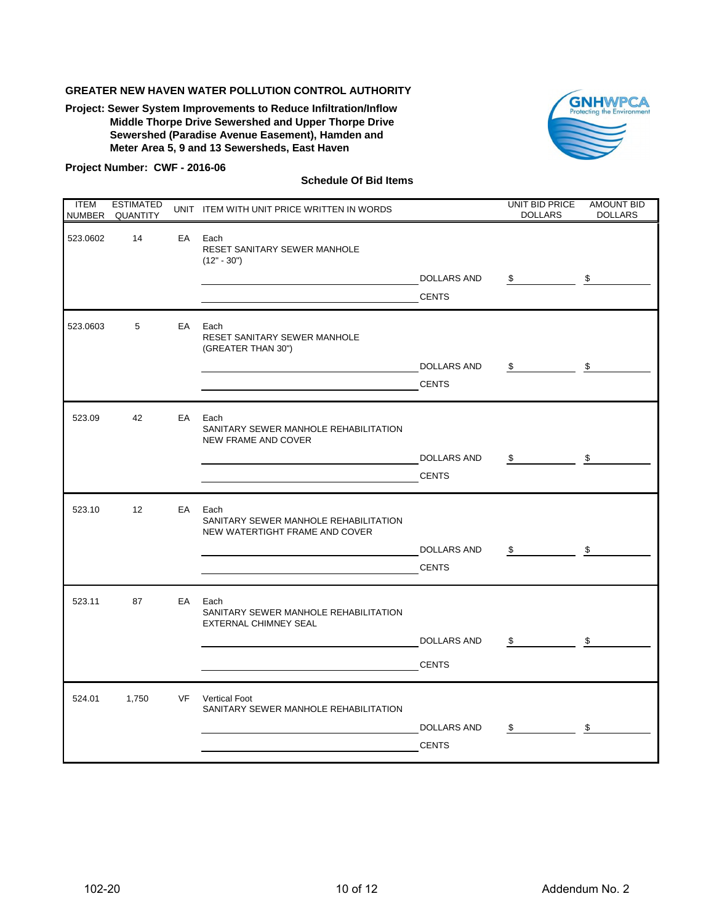**Project: Sewer System Improvements to Reduce Infiltration/Inflow Middle Thorpe Drive Sewershed and Upper Thorpe Drive Sewershed (Paradise Avenue Easement), Hamden and Meter Area 5, 9 and 13 Sewersheds, East Haven**



#### **Project Number: CWF - 2016-06**

| <b>ITEM</b><br><b>NUMBER</b> | <b>ESTIMATED</b><br><b>QUANTITY</b> |    | UNIT ITEM WITH UNIT PRICE WRITTEN IN WORDS                                      |                    | UNIT BID PRICE<br><b>DOLLARS</b> | <b>AMOUNT BID</b><br><b>DOLLARS</b> |
|------------------------------|-------------------------------------|----|---------------------------------------------------------------------------------|--------------------|----------------------------------|-------------------------------------|
| 523.0602                     | 14                                  | EA | Each<br>RESET SANITARY SEWER MANHOLE<br>$(12" - 30")$                           |                    |                                  |                                     |
|                              |                                     |    |                                                                                 | <b>DOLLARS AND</b> | \$                               | -\$                                 |
|                              |                                     |    |                                                                                 | <b>CENTS</b>       |                                  |                                     |
| 523.0603                     | 5                                   | EA | Each<br>RESET SANITARY SEWER MANHOLE<br>(GREATER THAN 30")                      |                    |                                  |                                     |
|                              |                                     |    |                                                                                 | <b>DOLLARS AND</b> | \$                               | \$                                  |
|                              |                                     |    |                                                                                 | <b>CENTS</b>       |                                  |                                     |
| 523.09                       | 42                                  | EA | Each<br>SANITARY SEWER MANHOLE REHABILITATION<br>NEW FRAME AND COVER            |                    |                                  |                                     |
|                              |                                     |    |                                                                                 | <b>DOLLARS AND</b> | \$                               | \$                                  |
|                              |                                     |    |                                                                                 | <b>CENTS</b>       |                                  |                                     |
| 523.10                       | 12 <sup>2</sup>                     | EA | Each<br>SANITARY SEWER MANHOLE REHABILITATION<br>NEW WATERTIGHT FRAME AND COVER |                    |                                  |                                     |
|                              |                                     |    |                                                                                 | DOLLARS AND        | \$                               | \$                                  |
|                              |                                     |    |                                                                                 | <b>CENTS</b>       |                                  |                                     |
| 523.11                       | 87                                  | EA | Each<br>SANITARY SEWER MANHOLE REHABILITATION<br><b>EXTERNAL CHIMNEY SEAL</b>   |                    |                                  |                                     |
|                              |                                     |    |                                                                                 | DOLLARS AND        | \$                               | \$                                  |
|                              |                                     |    |                                                                                 | <b>CENTS</b>       |                                  |                                     |
| 524.01                       | 1,750                               | VF | <b>Vertical Foot</b><br>SANITARY SEWER MANHOLE REHABILITATION                   |                    |                                  |                                     |
|                              |                                     |    |                                                                                 | <b>DOLLARS AND</b> | \$                               | $\sqrt[6]{\frac{1}{2}}$             |
|                              |                                     |    |                                                                                 | <b>CENTS</b>       |                                  |                                     |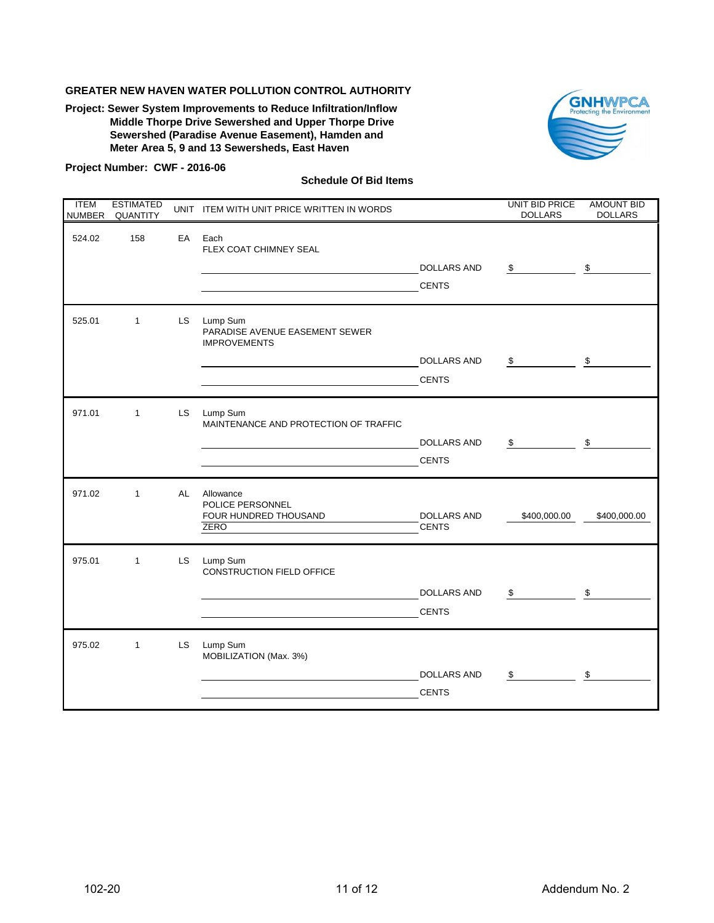**Project: Sewer System Improvements to Reduce Infiltration/Inflow Middle Thorpe Drive Sewershed and Upper Thorpe Drive Sewershed (Paradise Avenue Easement), Hamden and Meter Area 5, 9 and 13 Sewersheds, East Haven**



#### **Project Number: CWF - 2016-06**

| <b>ITEM</b><br><b>NUMBER</b> | <b>ESTIMATED</b><br>QUANTITY |           | UNIT ITEM WITH UNIT PRICE WRITTEN IN WORDS                            |                                    | UNIT BID PRICE<br><b>DOLLARS</b> | <b>AMOUNT BID</b><br><b>DOLLARS</b> |
|------------------------------|------------------------------|-----------|-----------------------------------------------------------------------|------------------------------------|----------------------------------|-------------------------------------|
| 524.02                       | 158                          | EA        | Each<br>FLEX COAT CHIMNEY SEAL                                        | <b>DOLLARS AND</b>                 | \$                               | \$                                  |
|                              |                              |           |                                                                       | <b>CENTS</b>                       |                                  |                                     |
| 525.01                       | $\mathbf{1}$                 | <b>LS</b> | Lump Sum<br>PARADISE AVENUE EASEMENT SEWER<br><b>IMPROVEMENTS</b>     |                                    |                                  |                                     |
|                              |                              |           |                                                                       | <b>DOLLARS AND</b>                 | \$                               | \$                                  |
|                              |                              |           |                                                                       | <b>CENTS</b>                       |                                  |                                     |
| 971.01                       | $\mathbf{1}$                 | LS.       | Lump Sum<br>MAINTENANCE AND PROTECTION OF TRAFFIC                     |                                    |                                  |                                     |
|                              |                              |           |                                                                       | <b>DOLLARS AND</b>                 | \$                               | \$                                  |
|                              |                              |           |                                                                       | <b>CENTS</b>                       |                                  |                                     |
| 971.02                       | $\mathbf{1}$                 | AL        | Allowance<br>POLICE PERSONNEL<br>FOUR HUNDRED THOUSAND<br><b>ZERO</b> | <b>DOLLARS AND</b><br><b>CENTS</b> | \$400,000.00                     | \$400,000.00                        |
| 975.01                       | $\mathbf{1}$                 | <b>LS</b> | Lump Sum<br>CONSTRUCTION FIELD OFFICE                                 |                                    |                                  |                                     |
|                              |                              |           |                                                                       | <b>DOLLARS AND</b>                 | \$                               | \$                                  |
|                              |                              |           |                                                                       | <b>CENTS</b>                       |                                  |                                     |
| 975.02                       | $\mathbf{1}$                 | LS.       | Lump Sum<br>MOBILIZATION (Max. 3%)                                    |                                    |                                  |                                     |
|                              |                              |           |                                                                       | <b>DOLLARS AND</b>                 | \$                               | \$                                  |
|                              |                              |           |                                                                       | <b>CENTS</b>                       |                                  |                                     |